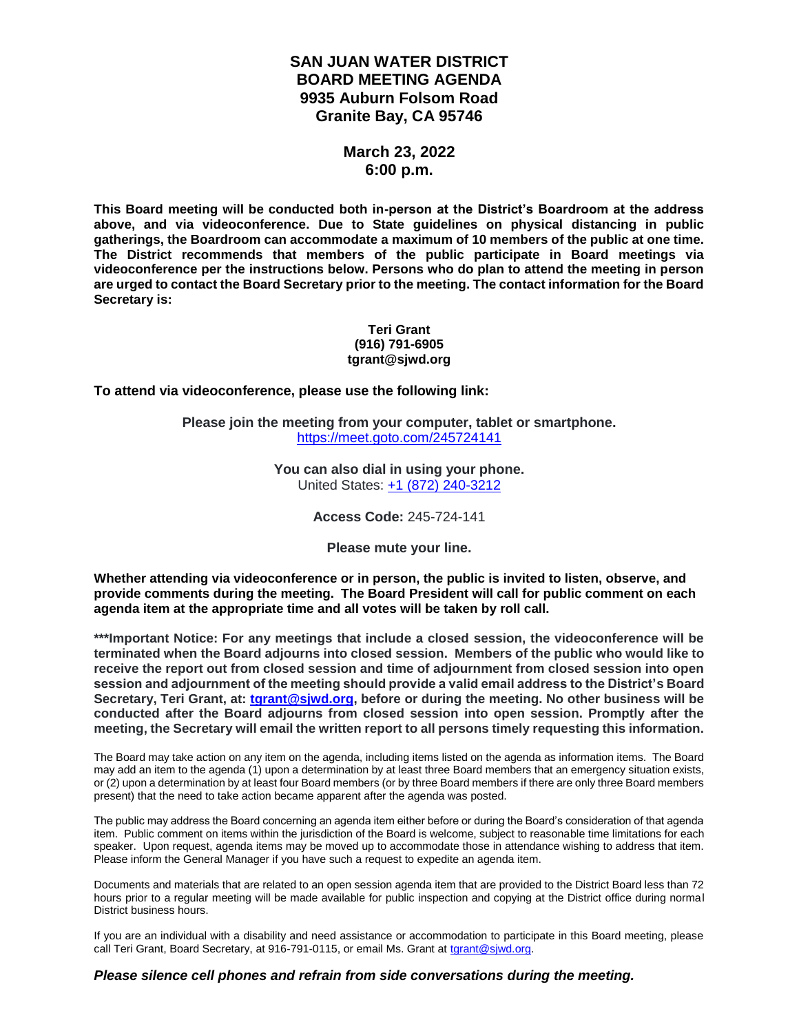## **SAN JUAN WATER DISTRICT BOARD MEETING AGENDA 9935 Auburn Folsom Road Granite Bay, CA 95746**

## **March 23, 2022 6:00 p.m.**

**This Board meeting will be conducted both in-person at the District's Boardroom at the address above, and via videoconference. Due to State guidelines on physical distancing in public gatherings, the Boardroom can accommodate a maximum of 10 members of the public at one time. The District recommends that members of the public participate in Board meetings via videoconference per the instructions below. Persons who do plan to attend the meeting in person are urged to contact the Board Secretary prior to the meeting. The contact information for the Board Secretary is:**

#### **Teri Grant (916) 791-6905 tgrant@sjwd.org**

**To attend via videoconference, please use the following link:**

**Please join the meeting from your computer, tablet or smartphone.** <https://meet.goto.com/245724141>

> **You can also dial in using your phone.** United States: [+1 \(872\) 240-3212](tel:+18722403212,,245724141)

> > **Access Code:** 245-724-141

**Please mute your line.**

**Whether attending via videoconference or in person, the public is invited to listen, observe, and provide comments during the meeting. The Board President will call for public comment on each agenda item at the appropriate time and all votes will be taken by roll call.** 

**\*\*\*Important Notice: For any meetings that include a closed session, the videoconference will be terminated when the Board adjourns into closed session. Members of the public who would like to receive the report out from closed session and time of adjournment from closed session into open session and adjournment of the meeting should provide a valid email address to the District's Board Secretary, Teri Grant, at: [tgrant@sjwd.org,](mailto:tgrant@sjwd.org) before or during the meeting. No other business will be conducted after the Board adjourns from closed session into open session. Promptly after the meeting, the Secretary will email the written report to all persons timely requesting this information.**

The Board may take action on any item on the agenda, including items listed on the agenda as information items. The Board may add an item to the agenda (1) upon a determination by at least three Board members that an emergency situation exists, or (2) upon a determination by at least four Board members (or by three Board members if there are only three Board members present) that the need to take action became apparent after the agenda was posted.

The public may address the Board concerning an agenda item either before or during the Board's consideration of that agenda item. Public comment on items within the jurisdiction of the Board is welcome, subject to reasonable time limitations for each speaker. Upon request, agenda items may be moved up to accommodate those in attendance wishing to address that item. Please inform the General Manager if you have such a request to expedite an agenda item.

Documents and materials that are related to an open session agenda item that are provided to the District Board less than 72 hours prior to a regular meeting will be made available for public inspection and copying at the District office during normal District business hours.

If you are an individual with a disability and need assistance or accommodation to participate in this Board meeting, please call Teri Grant, Board Secretary, at 916-791-0115, or email Ms. Grant at [tgrant@sjwd.org.](mailto:tgrant@sjwd.org)

#### *Please silence cell phones and refrain from side conversations during the meeting.*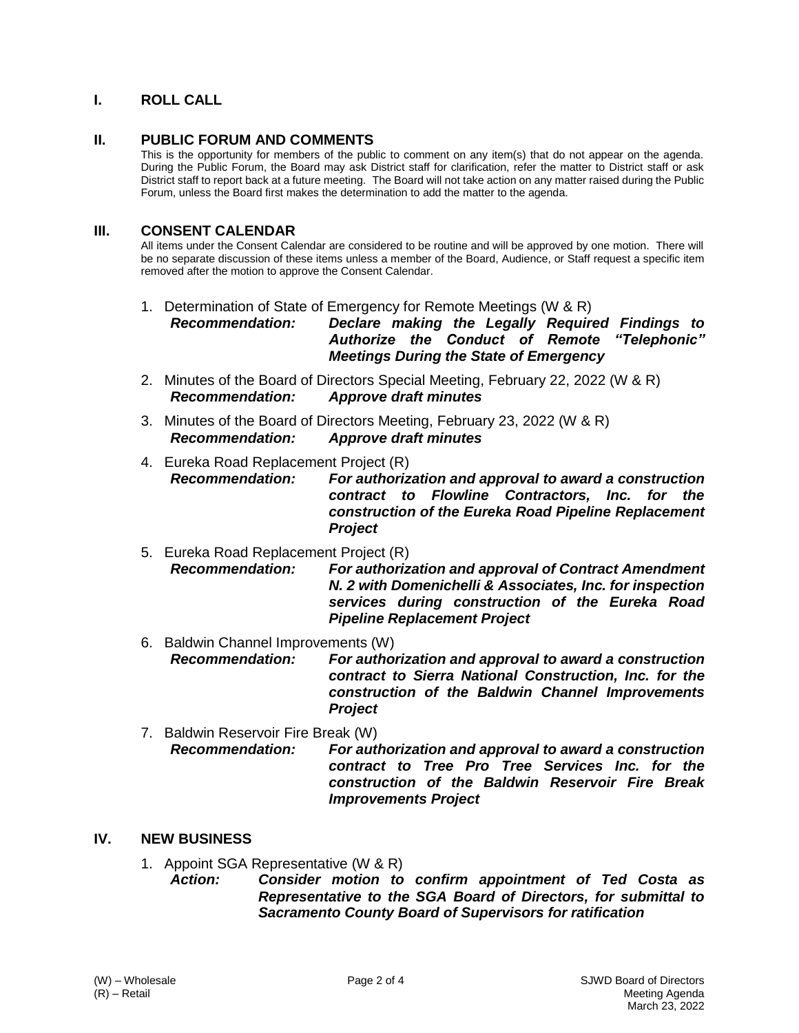## **I. ROLL CALL**

#### **II. PUBLIC FORUM AND COMMENTS**

This is the opportunity for members of the public to comment on any item(s) that do not appear on the agenda. During the Public Forum, the Board may ask District staff for clarification, refer the matter to District staff or ask District staff to report back at a future meeting. The Board will not take action on any matter raised during the Public Forum, unless the Board first makes the determination to add the matter to the agenda.

#### **III. CONSENT CALENDAR**

All items under the Consent Calendar are considered to be routine and will be approved by one motion. There will be no separate discussion of these items unless a member of the Board, Audience, or Staff request a specific item removed after the motion to approve the Consent Calendar.

1. Determination of State of Emergency for Remote Meetings (W & R)

*Recommendation: Declare making the Legally Required Findings to Authorize the Conduct of Remote "Telephonic" Meetings During the State of Emergency*

- 2. Minutes of the Board of Directors Special Meeting, February 22, 2022 (W & R) *Recommendation: Approve draft minutes*
- 3. Minutes of the Board of Directors Meeting, February 23, 2022 (W & R) *Recommendation: Approve draft minutes*
- 4. Eureka Road Replacement Project (R) *Recommendation: For authorization and approval to award a construction contract to Flowline Contractors, Inc. for the construction of the Eureka Road Pipeline Replacement Project*
- 5. Eureka Road Replacement Project (R) *Recommendation: For authorization and approval of Contract Amendment N. 2 with Domenichelli & Associates, Inc. for inspection services during construction of the Eureka Road Pipeline Replacement Project*
- 6. Baldwin Channel Improvements (W) *Recommendation: For authorization and approval to award a construction contract to Sierra National Construction, Inc. for the construction of the Baldwin Channel Improvements Project*
- 7. Baldwin Reservoir Fire Break (W) *Recommendation: For authorization and approval to award a construction contract to Tree Pro Tree Services Inc. for the construction of the Baldwin Reservoir Fire Break Improvements Project*

#### **IV. NEW BUSINESS**

- 1. Appoint SGA Representative (W & R)
	- *Action: Consider motion to confirm appointment of Ted Costa as Representative to the SGA Board of Directors, for submittal to Sacramento County Board of Supervisors for ratification*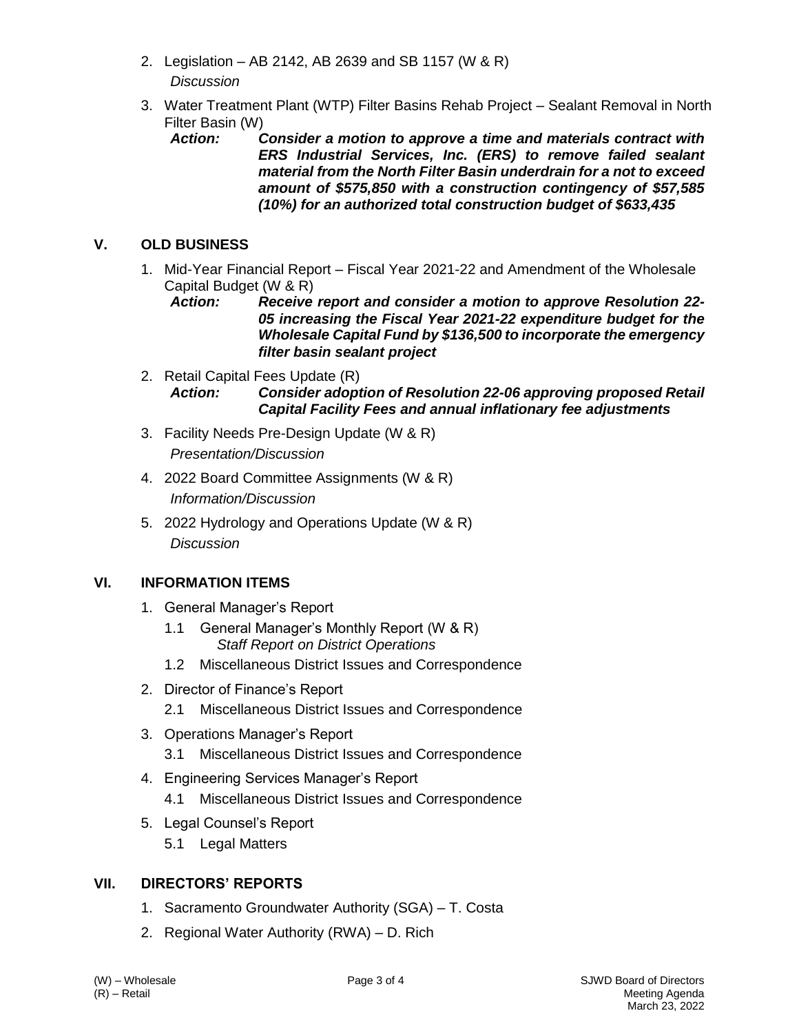- 2. Legislation AB 2142, AB 2639 and SB 1157 (W & R) *Discussion*
- 3. Water Treatment Plant (WTP) Filter Basins Rehab Project Sealant Removal in North Filter Basin (W)<br>**Action:** 
	- **Consider a motion to approve a time and materials contract with** *ERS Industrial Services, Inc. (ERS) to remove failed sealant material from the North Filter Basin underdrain for a not to exceed amount of \$575,850 with a construction contingency of \$57,585 (10%) for an authorized total construction budget of \$633,435*

# **V. OLD BUSINESS**

- 1. Mid-Year Financial Report Fiscal Year 2021-22 and Amendment of the Wholesale Capital Budget (W & R)
	- *Action: Receive report and consider a motion to approve Resolution 22- 05 increasing the Fiscal Year 2021-22 expenditure budget for the Wholesale Capital Fund by \$136,500 to incorporate the emergency filter basin sealant project*
- 2. Retail Capital Fees Update (R) *Action: Consider adoption of Resolution 22-06 approving proposed Retail Capital Facility Fees and annual inflationary fee adjustments*
- 3. Facility Needs Pre-Design Update (W & R) *Presentation/Discussion*
- 4. 2022 Board Committee Assignments (W & R) *Information/Discussion*
- 5. 2022 Hydrology and Operations Update (W & R) *Discussion*

## **VI. INFORMATION ITEMS**

- 1. General Manager's Report
	- 1.1 General Manager's Monthly Report (W & R) *Staff Report on District Operations*
	- 1.2 Miscellaneous District Issues and Correspondence
- 2. Director of Finance's Report 2.1 Miscellaneous District Issues and Correspondence
- 3. Operations Manager's Report
	- 3.1 Miscellaneous District Issues and Correspondence
- 4. Engineering Services Manager's Report
	- 4.1 Miscellaneous District Issues and Correspondence
- 5. Legal Counsel's Report
	- 5.1 Legal Matters

## **VII. DIRECTORS' REPORTS**

- 1. Sacramento Groundwater Authority (SGA) T. Costa
- 2. Regional Water Authority (RWA) D. Rich